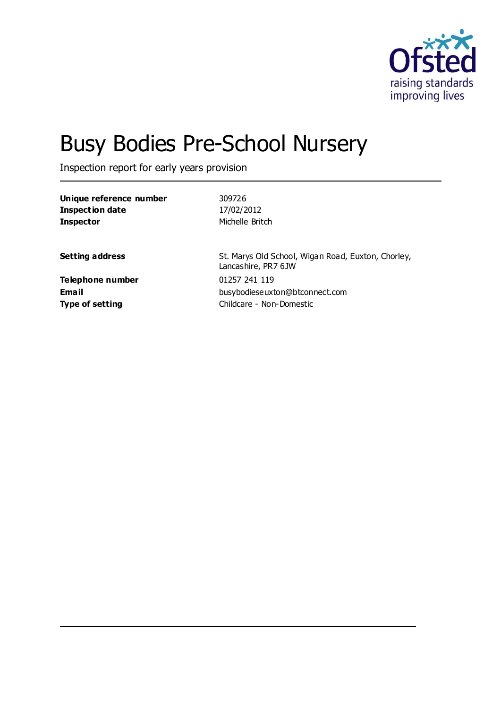

# Busy Bodies Pre-School Nursery

Inspection report for early years provision

| Unique reference number | 309726                                                                    |
|-------------------------|---------------------------------------------------------------------------|
| Inspection date         | 17/02/2012                                                                |
| <b>Inspector</b>        | Michelle Britch                                                           |
|                         |                                                                           |
| <b>Setting address</b>  | St. Marys Old School, Wigan Road, Euxton, Chorley,<br>Lancashire, PR7 6JW |
| <b>Telephone number</b> | 01257 241 119                                                             |
| <b>Email</b>            | busybodieseuxton@btconnect.com                                            |
| <b>Type of setting</b>  | Childcare - Non-Domestic                                                  |
|                         |                                                                           |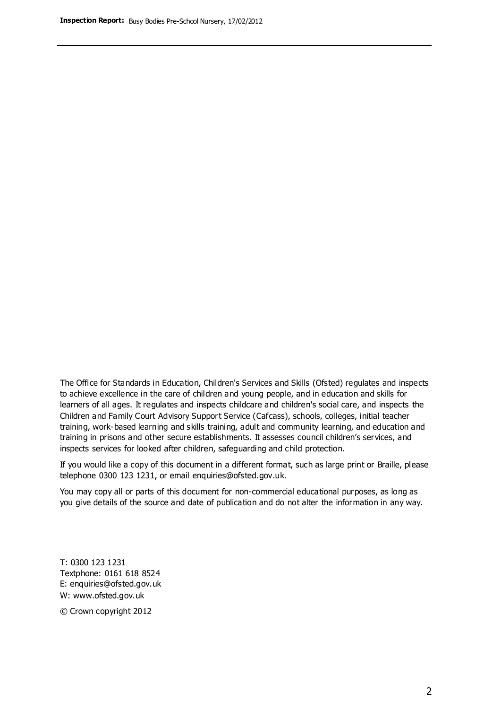The Office for Standards in Education, Children's Services and Skills (Ofsted) regulates and inspects to achieve excellence in the care of children and young people, and in education and skills for learners of all ages. It regulates and inspects childcare and children's social care, and inspects the Children and Family Court Advisory Support Service (Cafcass), schools, colleges, initial teacher training, work-based learning and skills training, adult and community learning, and education and training in prisons and other secure establishments. It assesses council children's services, and inspects services for looked after children, safeguarding and child protection.

If you would like a copy of this document in a different format, such as large print or Braille, please telephone 0300 123 1231, or email enquiries@ofsted.gov.uk.

You may copy all or parts of this document for non-commercial educational purposes, as long as you give details of the source and date of publication and do not alter the information in any way.

T: 0300 123 1231 Textphone: 0161 618 8524 E: enquiries@ofsted.gov.uk W: [www.ofsted.gov.uk](http://www.ofsted.gov.uk/)

© Crown copyright 2012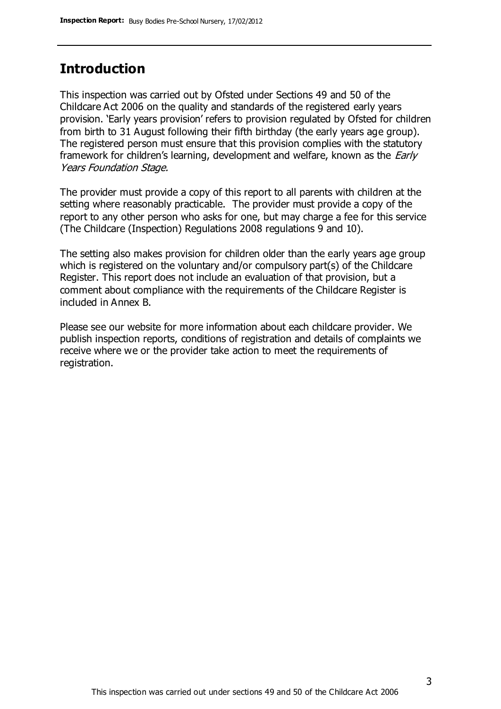### **Introduction**

This inspection was carried out by Ofsted under Sections 49 and 50 of the Childcare Act 2006 on the quality and standards of the registered early years provision. 'Early years provision' refers to provision regulated by Ofsted for children from birth to 31 August following their fifth birthday (the early years age group). The registered person must ensure that this provision complies with the statutory framework for children's learning, development and welfare, known as the *Early* Years Foundation Stage.

The provider must provide a copy of this report to all parents with children at the setting where reasonably practicable. The provider must provide a copy of the report to any other person who asks for one, but may charge a fee for this service (The Childcare (Inspection) Regulations 2008 regulations 9 and 10).

The setting also makes provision for children older than the early years age group which is registered on the voluntary and/or compulsory part(s) of the Childcare Register. This report does not include an evaluation of that provision, but a comment about compliance with the requirements of the Childcare Register is included in Annex B.

Please see our website for more information about each childcare provider. We publish inspection reports, conditions of registration and details of complaints we receive where we or the provider take action to meet the requirements of registration.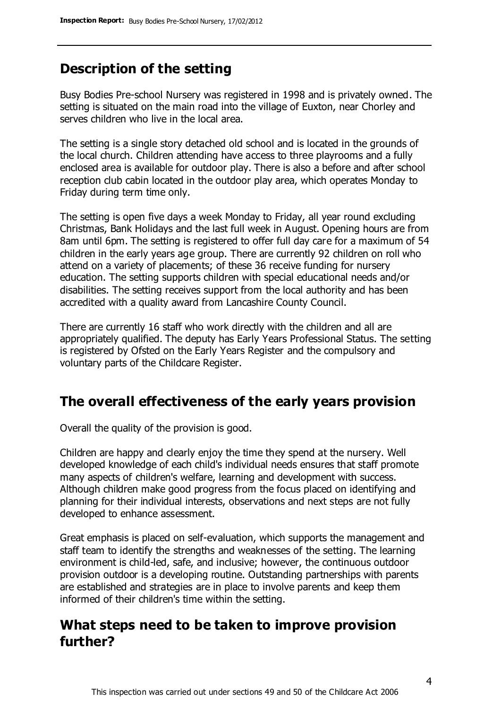### **Description of the setting**

Busy Bodies Pre-school Nursery was registered in 1998 and is privately owned. The setting is situated on the main road into the village of Euxton, near Chorley and serves children who live in the local area.

The setting is a single story detached old school and is located in the grounds of the local church. Children attending have access to three playrooms and a fully enclosed area is available for outdoor play. There is also a before and after school reception club cabin located in the outdoor play area, which operates Monday to Friday during term time only.

The setting is open five days a week Monday to Friday, all year round excluding Christmas, Bank Holidays and the last full week in August. Opening hours are from 8am until 6pm. The setting is registered to offer full day care for a maximum of 54 children in the early years age group. There are currently 92 children on roll who attend on a variety of placements; of these 36 receive funding for nursery education. The setting supports children with special educational needs and/or disabilities. The setting receives support from the local authority and has been accredited with a quality award from Lancashire County Council.

There are currently 16 staff who work directly with the children and all are appropriately qualified. The deputy has Early Years Professional Status. The setting is registered by Ofsted on the Early Years Register and the compulsory and voluntary parts of the Childcare Register.

### **The overall effectiveness of the early years provision**

Overall the quality of the provision is good.

Children are happy and clearly enjoy the time they spend at the nursery. Well developed knowledge of each child's individual needs ensures that staff promote many aspects of children's welfare, learning and development with success. Although children make good progress from the focus placed on identifying and planning for their individual interests, observations and next steps are not fully developed to enhance assessment.

Great emphasis is placed on self-evaluation, which supports the management and staff team to identify the strengths and weaknesses of the setting. The learning environment is child-led, safe, and inclusive; however, the continuous outdoor provision outdoor is a developing routine. Outstanding partnerships with parents are established and strategies are in place to involve parents and keep them informed of their children's time within the setting.

### **What steps need to be taken to improve provision further?**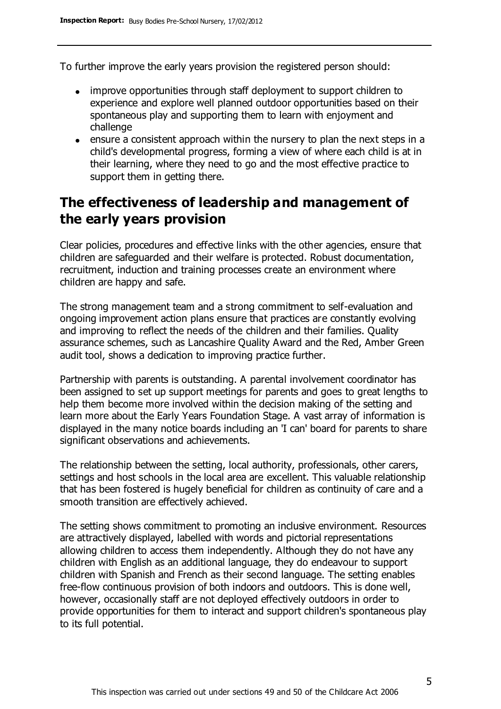To further improve the early years provision the registered person should:

- improve opportunities through staff deployment to support children to experience and explore well planned outdoor opportunities based on their spontaneous play and supporting them to learn with enjoyment and challenge
- ensure a consistent approach within the nursery to plan the next steps in a child's developmental progress, forming a view of where each child is at in their learning, where they need to go and the most effective practice to support them in getting there.

### **The effectiveness of leadership and management of the early years provision**

Clear policies, procedures and effective links with the other agencies, ensure that children are safeguarded and their welfare is protected. Robust documentation, recruitment, induction and training processes create an environment where children are happy and safe.

The strong management team and a strong commitment to self-evaluation and ongoing improvement action plans ensure that practices are constantly evolving and improving to reflect the needs of the children and their families. Quality assurance schemes, such as Lancashire Quality Award and the Red, Amber Green audit tool, shows a dedication to improving practice further.

Partnership with parents is outstanding. A parental involvement coordinator has been assigned to set up support meetings for parents and goes to great lengths to help them become more involved within the decision making of the setting and learn more about the Early Years Foundation Stage. A vast array of information is displayed in the many notice boards including an 'I can' board for parents to share significant observations and achievements.

The relationship between the setting, local authority, professionals, other carers, settings and host schools in the local area are excellent. This valuable relationship that has been fostered is hugely beneficial for children as continuity of care and a smooth transition are effectively achieved.

The setting shows commitment to promoting an inclusive environment. Resources are attractively displayed, labelled with words and pictorial representations allowing children to access them independently. Although they do not have any children with English as an additional language, they do endeavour to support children with Spanish and French as their second language. The setting enables free-flow continuous provision of both indoors and outdoors. This is done well, however, occasionally staff are not deployed effectively outdoors in order to provide opportunities for them to interact and support children's spontaneous play to its full potential.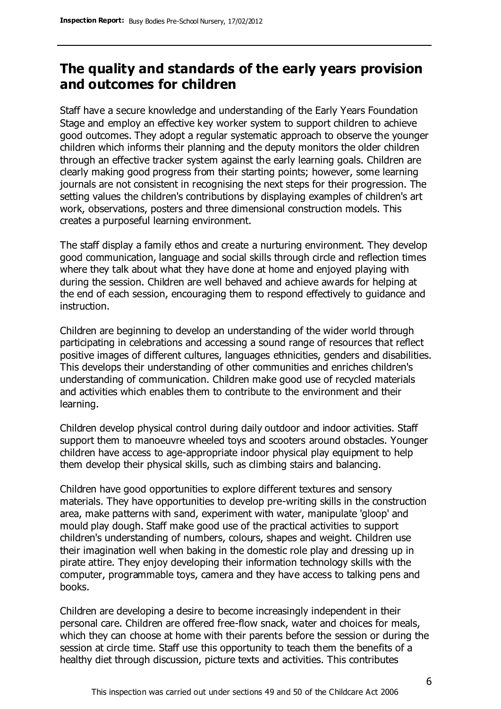### **The quality and standards of the early years provision and outcomes for children**

Staff have a secure knowledge and understanding of the Early Years Foundation Stage and employ an effective key worker system to support children to achieve good outcomes. They adopt a regular systematic approach to observe the younger children which informs their planning and the deputy monitors the older children through an effective tracker system against the early learning goals. Children are clearly making good progress from their starting points; however, some learning journals are not consistent in recognising the next steps for their progression. The setting values the children's contributions by displaying examples of children's art work, observations, posters and three dimensional construction models. This creates a purposeful learning environment.

The staff display a family ethos and create a nurturing environment. They develop good communication, language and social skills through circle and reflection times where they talk about what they have done at home and enjoyed playing with during the session. Children are well behaved and achieve awards for helping at the end of each session, encouraging them to respond effectively to guidance and instruction.

Children are beginning to develop an understanding of the wider world through participating in celebrations and accessing a sound range of resources that reflect positive images of different cultures, languages ethnicities, genders and disabilities. This develops their understanding of other communities and enriches children's understanding of communication. Children make good use of recycled materials and activities which enables them to contribute to the environment and their learning.

Children develop physical control during daily outdoor and indoor activities. Staff support them to manoeuvre wheeled toys and scooters around obstacles. Younger children have access to age-appropriate indoor physical play equipment to help them develop their physical skills, such as climbing stairs and balancing.

Children have good opportunities to explore different textures and sensory materials. They have opportunities to develop pre-writing skills in the construction area, make patterns with sand, experiment with water, manipulate 'gloop' and mould play dough. Staff make good use of the practical activities to support children's understanding of numbers, colours, shapes and weight. Children use their imagination well when baking in the domestic role play and dressing up in pirate attire. They enjoy developing their information technology skills with the computer, programmable toys, camera and they have access to talking pens and books.

Children are developing a desire to become increasingly independent in their personal care. Children are offered free-flow snack, water and choices for meals, which they can choose at home with their parents before the session or during the session at circle time. Staff use this opportunity to teach them the benefits of a healthy diet through discussion, picture texts and activities. This contributes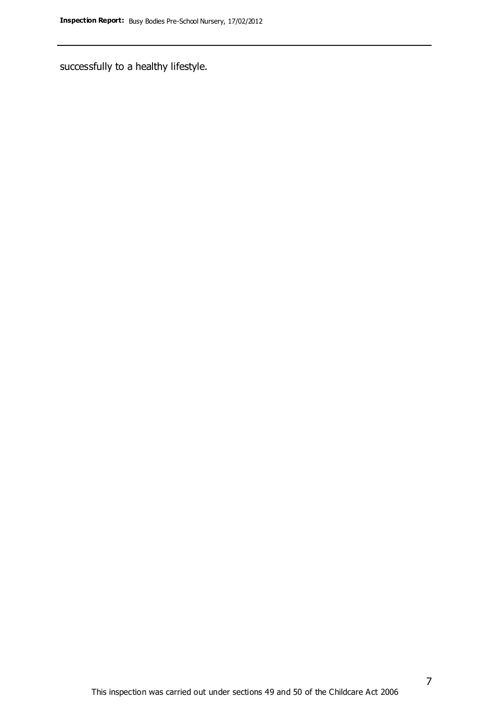successfully to a healthy lifestyle.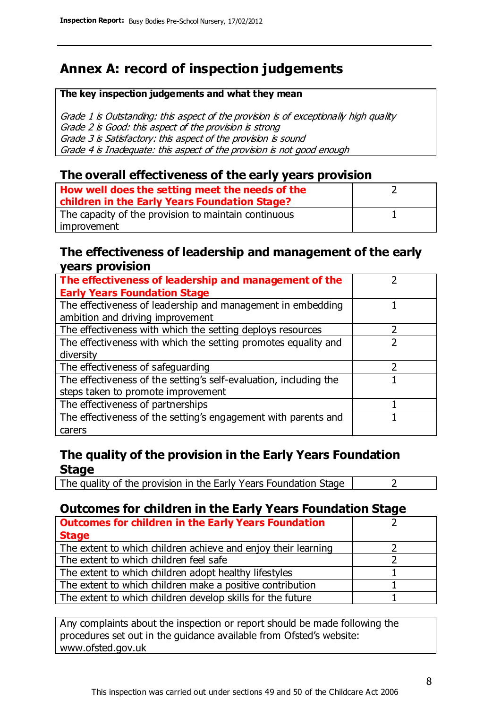### **Annex A: record of inspection judgements**

#### **The key inspection judgements and what they mean**

Grade 1 is Outstanding: this aspect of the provision is of exceptionally high quality Grade 2 is Good: this aspect of the provision is strong Grade 3 is Satisfactory: this aspect of the provision is sound Grade 4 is Inadequate: this aspect of the provision is not good enough

### **The overall effectiveness of the early years provision**

| How well does the setting meet the needs of the<br>children in the Early Years Foundation Stage? |  |
|--------------------------------------------------------------------------------------------------|--|
| The capacity of the provision to maintain continuous                                             |  |
| improvement                                                                                      |  |

### **The effectiveness of leadership and management of the early years provision**

| The effectiveness of leadership and management of the             |  |
|-------------------------------------------------------------------|--|
| <b>Early Years Foundation Stage</b>                               |  |
| The effectiveness of leadership and management in embedding       |  |
| ambition and driving improvement                                  |  |
| The effectiveness with which the setting deploys resources        |  |
| The effectiveness with which the setting promotes equality and    |  |
| diversity                                                         |  |
| The effectiveness of safeguarding                                 |  |
| The effectiveness of the setting's self-evaluation, including the |  |
| steps taken to promote improvement                                |  |
| The effectiveness of partnerships                                 |  |
| The effectiveness of the setting's engagement with parents and    |  |
| carers                                                            |  |

### **The quality of the provision in the Early Years Foundation Stage**

The quality of the provision in the Early Years Foundation Stage  $\vert$  2

### **Outcomes for children in the Early Years Foundation Stage**

| <b>Outcomes for children in the Early Years Foundation</b>    |  |
|---------------------------------------------------------------|--|
| <b>Stage</b>                                                  |  |
| The extent to which children achieve and enjoy their learning |  |
| The extent to which children feel safe                        |  |
| The extent to which children adopt healthy lifestyles         |  |
| The extent to which children make a positive contribution     |  |
| The extent to which children develop skills for the future    |  |

Any complaints about the inspection or report should be made following the procedures set out in the guidance available from Ofsted's website: www.ofsted.gov.uk